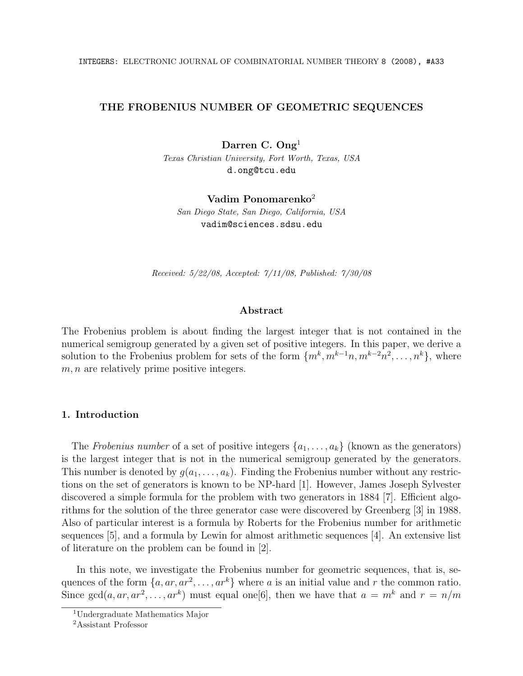## THE FROBENIUS NUMBER OF GEOMETRIC SEQUENCES

Darren C. Ong<sup>1</sup>

*Texas Christian University, Fort Worth, Texas, USA* d.ong@tcu.edu

Vadim Ponomarenko<sup>2</sup> *San Diego State, San Diego, California, USA* vadim@sciences.sdsu.edu

*Received: 5/22/08, Accepted: 7/11/08, Published: 7/30/08*

#### Abstract

The Frobenius problem is about finding the largest integer that is not contained in the numerical semigroup generated by a given set of positive integers. In this paper, we derive a solution to the Frobenius problem for sets of the form  $\{m^k, m^{k-1}n, m^{k-2}n^2, \ldots, n^k\}$ , where *m, n* are relatively prime positive integers.

# 1. Introduction

The *Frobenius number* of a set of positive integers  $\{a_1, \ldots, a_k\}$  (known as the generators) is the largest integer that is not in the numerical semigroup generated by the generators. This number is denoted by  $g(a_1, \ldots, a_k)$ . Finding the Frobenius number without any restrictions on the set of generators is known to be NP-hard [1]. However, James Joseph Sylvester discovered a simple formula for the problem with two generators in 1884 [7]. Efficient algorithms for the solution of the three generator case were discovered by Greenberg [3] in 1988. Also of particular interest is a formula by Roberts for the Frobenius number for arithmetic sequences [5], and a formula by Lewin for almost arithmetic sequences [4]. An extensive list of literature on the problem can be found in [2].

In this note, we investigate the Frobenius number for geometric sequences, that is, sequences of the form  $\{a, ar, ar^2, \ldots, ar^k\}$  where *a* is an initial value and *r* the common ratio. Since  $gcd(a, ar, ar^2, \ldots, ar^k)$  must equal one [6], then we have that  $a = m^k$  and  $r = n/m$ 

<sup>1</sup>Undergraduate Mathematics Major

<sup>2</sup>Assistant Professor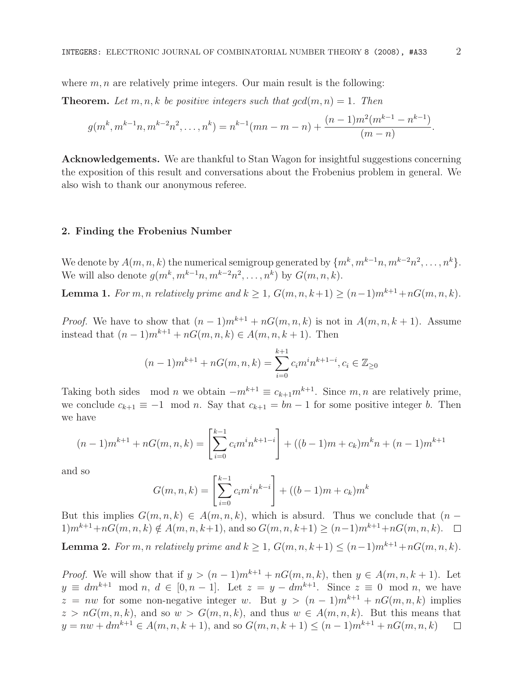where  $m, n$  are relatively prime integers. Our main result is the following:

**Theorem.** Let  $m, n, k$  be positive integers such that  $gcd(m, n) = 1$ . Then

$$
g(m^k, m^{k-1}n, m^{k-2}n^2, \dots, n^k) = n^{k-1}(mn - m - n) + \frac{(n-1)m^2(m^{k-1} - n^{k-1})}{(m - n)}.
$$

Acknowledgements. We are thankful to Stan Wagon for insightful suggestions concerning the exposition of this result and conversations about the Frobenius problem in general. We also wish to thank our anonymous referee.

### 2. Finding the Frobenius Number

We denote by  $A(m, n, k)$  the numerical semigroup generated by  $\{m^k, m^{k-1}n, m^{k-2}n^2, \ldots, n^k\}$ . We will also denote  $g(m^k, m^{k-1}n, m^{k-2}n^2, \ldots, n^k)$  by  $G(m, n, k)$ .

**Lemma 1.** *For m, n relatively prime* and  $k \ge 1$ ,  $G(m, n, k+1) \ge (n-1)m^{k+1} + nG(m, n, k)$ .

*Proof.* We have to show that  $(n-1)m^{k+1} + nG(m, n, k)$  is not in  $A(m, n, k+1)$ . Assume instead that  $(n-1)m^{k+1} + nG(m, n, k)$  ∈  $A(m, n, k+1)$ . Then

$$
(n-1)m^{k+1} + nG(m, n, k) = \sum_{i=0}^{k+1} c_i m^i n^{k+1-i}, c_i \in \mathbb{Z}_{\geq 0}
$$

Taking both sides mod *n* we obtain  $-m^{k+1} \equiv c_{k+1}m^{k+1}$ . Since  $m, n$  are relatively prime, we conclude  $c_{k+1} \equiv -1 \mod n$ . Say that  $c_{k+1} = bn - 1$  for some positive integer *b*. Then we have

$$
(n-1)m^{k+1} + nG(m, n, k) = \left[\sum_{i=0}^{k-1} c_i m^i n^{k+1-i}\right] + ((b-1)m + c_k)m^k n + (n-1)m^{k+1}
$$

and so

$$
G(m, n, k) = \left[\sum_{i=0}^{k-1} c_i m^i n^{k-i}\right] + ((b-1)m + c_k)m^k
$$

But this implies  $G(m, n, k) \in A(m, n, k)$ , which is absurd. Thus we conclude that  $(n - k)$  $1)m^{k+1}+nG(m, n, k) \notin A(m, n, k+1)$ , and so  $G(m, n, k+1) \ge (n-1)m^{k+1}+nG(m, n, k)$ .  $\Box$ **Lemma 2.** For *m, n* relatively prime and  $k > 1$ ,  $G(m, n, k+1) \leq (n-1)m^{k+1} + nG(m, n, k)$ .

*Proof.* We will show that if  $y > (n-1)m^{k+1} + nG(m, n, k)$ , then  $y \in A(m, n, k + 1)$ . Let  $y \equiv dm^{k+1} \mod n, d \in [0, n-1].$  Let  $z = y - dm^{k+1}$ . Since  $z \equiv 0 \mod n$ , we have  $z = nw$  for some non-negative integer *w*. But  $y > (n-1)m^{k+1} + nG(m, n, k)$  implies  $z > nG(m, n, k)$ , and so  $w > G(m, n, k)$ , and thus  $w \in A(m, n, k)$ . But this means that  $y = nw + dm^{k+1} \in A(m, n, k+1)$ , and so  $G(m, n, k+1) \le (n-1)m^{k+1} + nG(m, n, k)$  $y = nw + dm^{k+1} \in A(m, n, k+1)$ , and so  $G(m, n, k+1) \le (n-1)m^{k+1} + nG(m, n, k)$